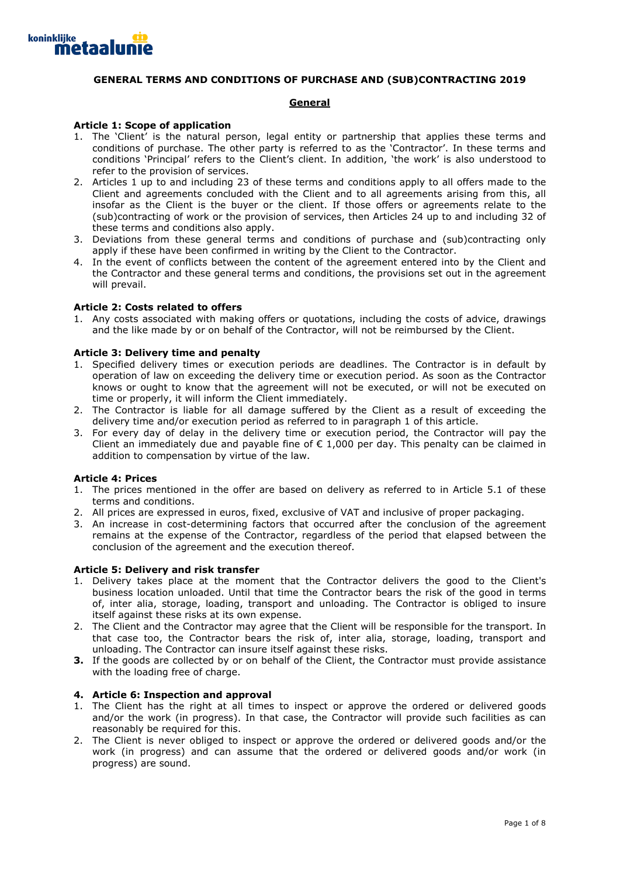

# **GENERAL TERMS AND CONDITIONS OF PURCHASE AND (SUB)CONTRACTING 2019**

## **General**

#### **Article 1: Scope of application**

- 1. The 'Client' is the natural person, legal entity or partnership that applies these terms and conditions of purchase. The other party is referred to as the 'Contractor'. In these terms and conditions 'Principal' refers to the Client's client. In addition, 'the work' is also understood to refer to the provision of services.
- 2. Articles 1 up to and including 23 of these terms and conditions apply to all offers made to the Client and agreements concluded with the Client and to all agreements arising from this, all insofar as the Client is the buyer or the client. If those offers or agreements relate to the (sub)contracting of work or the provision of services, then Articles 24 up to and including 32 of these terms and conditions also apply.
- 3. Deviations from these general terms and conditions of purchase and (sub)contracting only apply if these have been confirmed in writing by the Client to the Contractor.
- 4. In the event of conflicts between the content of the agreement entered into by the Client and the Contractor and these general terms and conditions, the provisions set out in the agreement will prevail.

## **Article 2: Costs related to offers**

1. Any costs associated with making offers or quotations, including the costs of advice, drawings and the like made by or on behalf of the Contractor, will not be reimbursed by the Client.

#### **Article 3: Delivery time and penalty**

- 1. Specified delivery times or execution periods are deadlines. The Contractor is in default by operation of law on exceeding the delivery time or execution period. As soon as the Contractor knows or ought to know that the agreement will not be executed, or will not be executed on time or properly, it will inform the Client immediately.
- 2. The Contractor is liable for all damage suffered by the Client as a result of exceeding the delivery time and/or execution period as referred to in paragraph 1 of this article.
- 3. For every day of delay in the delivery time or execution period, the Contractor will pay the Client an immediately due and payable fine of  $\epsilon$  1,000 per day. This penalty can be claimed in addition to compensation by virtue of the law.

### **Article 4: Prices**

- 1. The prices mentioned in the offer are based on delivery as referred to in Article 5.1 of these terms and conditions.
- 2. All prices are expressed in euros, fixed, exclusive of VAT and inclusive of proper packaging.
- 3. An increase in cost-determining factors that occurred after the conclusion of the agreement remains at the expense of the Contractor, regardless of the period that elapsed between the conclusion of the agreement and the execution thereof.

#### **Article 5: Delivery and risk transfer**

- 1. Delivery takes place at the moment that the Contractor delivers the good to the Client's business location unloaded. Until that time the Contractor bears the risk of the good in terms of, inter alia, storage, loading, transport and unloading. The Contractor is obliged to insure itself against these risks at its own expense.
- 2. The Client and the Contractor may agree that the Client will be responsible for the transport. In that case too, the Contractor bears the risk of, inter alia, storage, loading, transport and unloading. The Contractor can insure itself against these risks.
- **3.** If the goods are collected by or on behalf of the Client, the Contractor must provide assistance with the loading free of charge.

#### **4. Article 6: Inspection and approval**

- 1. The Client has the right at all times to inspect or approve the ordered or delivered goods and/or the work (in progress). In that case, the Contractor will provide such facilities as can reasonably be required for this.
- 2. The Client is never obliged to inspect or approve the ordered or delivered goods and/or the work (in progress) and can assume that the ordered or delivered goods and/or work (in progress) are sound.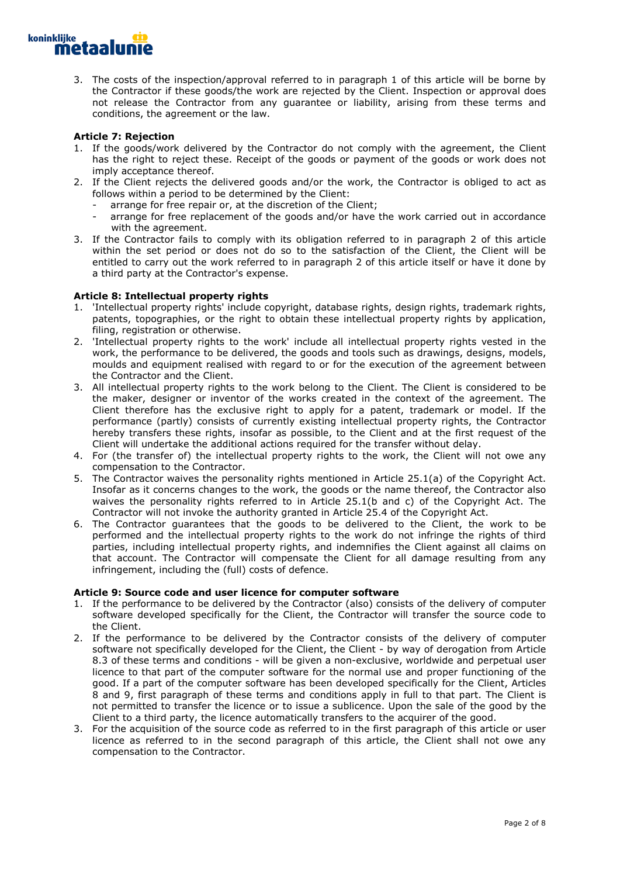

3. The costs of the inspection/approval referred to in paragraph 1 of this article will be borne by the Contractor if these goods/the work are rejected by the Client. Inspection or approval does not release the Contractor from any guarantee or liability, arising from these terms and conditions, the agreement or the law.

## **Article 7: Rejection**

- 1. If the goods/work delivered by the Contractor do not comply with the agreement, the Client has the right to reject these. Receipt of the goods or payment of the goods or work does not imply acceptance thereof.
- 2. If the Client rejects the delivered goods and/or the work, the Contractor is obliged to act as follows within a period to be determined by the Client:
	- arrange for free repair or, at the discretion of the Client;
	- arrange for free replacement of the goods and/or have the work carried out in accordance with the agreement.
- 3. If the Contractor fails to comply with its obligation referred to in paragraph 2 of this article within the set period or does not do so to the satisfaction of the Client, the Client will be entitled to carry out the work referred to in paragraph 2 of this article itself or have it done by a third party at the Contractor's expense.

## **Article 8: Intellectual property rights**

- 1. 'Intellectual property rights' include copyright, database rights, design rights, trademark rights, patents, topographies, or the right to obtain these intellectual property rights by application, filing, registration or otherwise.
- 2. 'Intellectual property rights to the work' include all intellectual property rights vested in the work, the performance to be delivered, the goods and tools such as drawings, designs, models, moulds and equipment realised with regard to or for the execution of the agreement between the Contractor and the Client.
- 3. All intellectual property rights to the work belong to the Client. The Client is considered to be the maker, designer or inventor of the works created in the context of the agreement. The Client therefore has the exclusive right to apply for a patent, trademark or model. If the performance (partly) consists of currently existing intellectual property rights, the Contractor hereby transfers these rights, insofar as possible, to the Client and at the first request of the Client will undertake the additional actions required for the transfer without delay.
- 4. For (the transfer of) the intellectual property rights to the work, the Client will not owe any compensation to the Contractor.
- 5. The Contractor waives the personality rights mentioned in Article 25.1(a) of the Copyright Act. Insofar as it concerns changes to the work, the goods or the name thereof, the Contractor also waives the personality rights referred to in Article 25.1(b and c) of the Copyright Act. The Contractor will not invoke the authority granted in Article 25.4 of the Copyright Act.
- 6. The Contractor guarantees that the goods to be delivered to the Client, the work to be performed and the intellectual property rights to the work do not infringe the rights of third parties, including intellectual property rights, and indemnifies the Client against all claims on that account. The Contractor will compensate the Client for all damage resulting from any infringement, including the (full) costs of defence.

### **Article 9: Source code and user licence for computer software**

- 1. If the performance to be delivered by the Contractor (also) consists of the delivery of computer software developed specifically for the Client, the Contractor will transfer the source code to the Client.
- 2. If the performance to be delivered by the Contractor consists of the delivery of computer software not specifically developed for the Client, the Client - by way of derogation from Article 8.3 of these terms and conditions - will be given a non-exclusive, worldwide and perpetual user licence to that part of the computer software for the normal use and proper functioning of the good. If a part of the computer software has been developed specifically for the Client, Articles 8 and 9, first paragraph of these terms and conditions apply in full to that part. The Client is not permitted to transfer the licence or to issue a sublicence. Upon the sale of the good by the Client to a third party, the licence automatically transfers to the acquirer of the good.
- 3. For the acquisition of the source code as referred to in the first paragraph of this article or user licence as referred to in the second paragraph of this article, the Client shall not owe any compensation to the Contractor.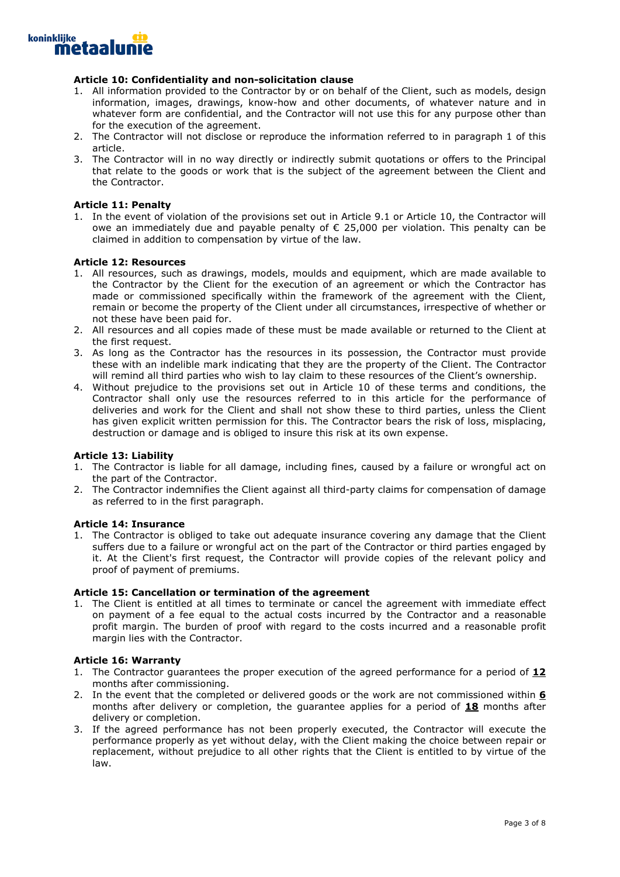

## **Article 10: Confidentiality and non-solicitation clause**

- 1. All information provided to the Contractor by or on behalf of the Client, such as models, design information, images, drawings, know-how and other documents, of whatever nature and in whatever form are confidential, and the Contractor will not use this for any purpose other than for the execution of the agreement.
- 2. The Contractor will not disclose or reproduce the information referred to in paragraph 1 of this article.
- 3. The Contractor will in no way directly or indirectly submit quotations or offers to the Principal that relate to the goods or work that is the subject of the agreement between the Client and the Contractor.

### **Article 11: Penalty**

1. In the event of violation of the provisions set out in Article 9.1 or Article 10, the Contractor will owe an immediately due and payable penalty of € 25,000 per violation. This penalty can be claimed in addition to compensation by virtue of the law.

#### **Article 12: Resources**

- 1. All resources, such as drawings, models, moulds and equipment, which are made available to the Contractor by the Client for the execution of an agreement or which the Contractor has made or commissioned specifically within the framework of the agreement with the Client, remain or become the property of the Client under all circumstances, irrespective of whether or not these have been paid for.
- 2. All resources and all copies made of these must be made available or returned to the Client at the first request.
- 3. As long as the Contractor has the resources in its possession, the Contractor must provide these with an indelible mark indicating that they are the property of the Client. The Contractor will remind all third parties who wish to lay claim to these resources of the Client's ownership.
- 4. Without prejudice to the provisions set out in Article 10 of these terms and conditions, the Contractor shall only use the resources referred to in this article for the performance of deliveries and work for the Client and shall not show these to third parties, unless the Client has given explicit written permission for this. The Contractor bears the risk of loss, misplacing, destruction or damage and is obliged to insure this risk at its own expense.

#### **Article 13: Liability**

- 1. The Contractor is liable for all damage, including fines, caused by a failure or wrongful act on the part of the Contractor.
- 2. The Contractor indemnifies the Client against all third-party claims for compensation of damage as referred to in the first paragraph.

#### **Article 14: Insurance**

1. The Contractor is obliged to take out adequate insurance covering any damage that the Client suffers due to a failure or wrongful act on the part of the Contractor or third parties engaged by it. At the Client's first request, the Contractor will provide copies of the relevant policy and proof of payment of premiums.

#### **Article 15: Cancellation or termination of the agreement**

1. The Client is entitled at all times to terminate or cancel the agreement with immediate effect on payment of a fee equal to the actual costs incurred by the Contractor and a reasonable profit margin. The burden of proof with regard to the costs incurred and a reasonable profit margin lies with the Contractor.

#### **Article 16: Warranty**

- 1. The Contractor guarantees the proper execution of the agreed performance for a period of **12** months after commissioning.
- 2. In the event that the completed or delivered goods or the work are not commissioned within **6** months after delivery or completion, the guarantee applies for a period of **18** months after delivery or completion.
- 3. If the agreed performance has not been properly executed, the Contractor will execute the performance properly as yet without delay, with the Client making the choice between repair or replacement, without prejudice to all other rights that the Client is entitled to by virtue of the law.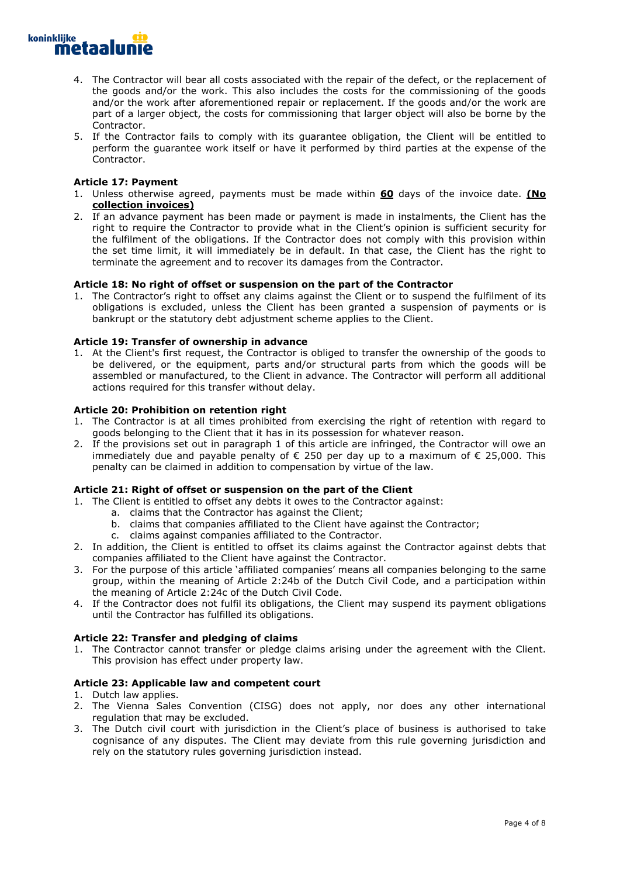

- 4. The Contractor will bear all costs associated with the repair of the defect, or the replacement of the goods and/or the work. This also includes the costs for the commissioning of the goods and/or the work after aforementioned repair or replacement. If the goods and/or the work are part of a larger object, the costs for commissioning that larger object will also be borne by the Contractor.
- 5. If the Contractor fails to comply with its guarantee obligation, the Client will be entitled to perform the guarantee work itself or have it performed by third parties at the expense of the Contractor.

### **Article 17: Payment**

- 1. Unless otherwise agreed, payments must be made within **60** days of the invoice date. **(No collection invoices)**
- 2. If an advance payment has been made or payment is made in instalments, the Client has the right to require the Contractor to provide what in the Client's opinion is sufficient security for the fulfilment of the obligations. If the Contractor does not comply with this provision within the set time limit, it will immediately be in default. In that case, the Client has the right to terminate the agreement and to recover its damages from the Contractor.

## **Article 18: No right of offset or suspension on the part of the Contractor**

1. The Contractor's right to offset any claims against the Client or to suspend the fulfilment of its obligations is excluded, unless the Client has been granted a suspension of payments or is bankrupt or the statutory debt adjustment scheme applies to the Client.

## **Article 19: Transfer of ownership in advance**

1. At the Client's first request, the Contractor is obliged to transfer the ownership of the goods to be delivered, or the equipment, parts and/or structural parts from which the goods will be assembled or manufactured, to the Client in advance. The Contractor will perform all additional actions required for this transfer without delay.

## **Article 20: Prohibition on retention right**

- 1. The Contractor is at all times prohibited from exercising the right of retention with regard to goods belonging to the Client that it has in its possession for whatever reason.
- 2. If the provisions set out in paragraph 1 of this article are infringed, the Contractor will owe an immediately due and payable penalty of € 250 per day up to a maximum of € 25,000. This penalty can be claimed in addition to compensation by virtue of the law.

## **Article 21: Right of offset or suspension on the part of the Client**

- 1. The Client is entitled to offset any debts it owes to the Contractor against:
	- a. claims that the Contractor has against the Client;
	- b. claims that companies affiliated to the Client have against the Contractor;
	- c. claims against companies affiliated to the Contractor.
- 2. In addition, the Client is entitled to offset its claims against the Contractor against debts that companies affiliated to the Client have against the Contractor.
- 3. For the purpose of this article 'affiliated companies' means all companies belonging to the same group, within the meaning of Article 2:24b of the Dutch Civil Code, and a participation within the meaning of Article 2:24c of the Dutch Civil Code.
- 4. If the Contractor does not fulfil its obligations, the Client may suspend its payment obligations until the Contractor has fulfilled its obligations.

## **Article 22: Transfer and pledging of claims**

1. The Contractor cannot transfer or pledge claims arising under the agreement with the Client. This provision has effect under property law.

#### **Article 23: Applicable law and competent court**

- 1. Dutch law applies.
- 2. The Vienna Sales Convention (CISG) does not apply, nor does any other international regulation that may be excluded.
- 3. The Dutch civil court with jurisdiction in the Client's place of business is authorised to take cognisance of any disputes. The Client may deviate from this rule governing jurisdiction and rely on the statutory rules governing jurisdiction instead.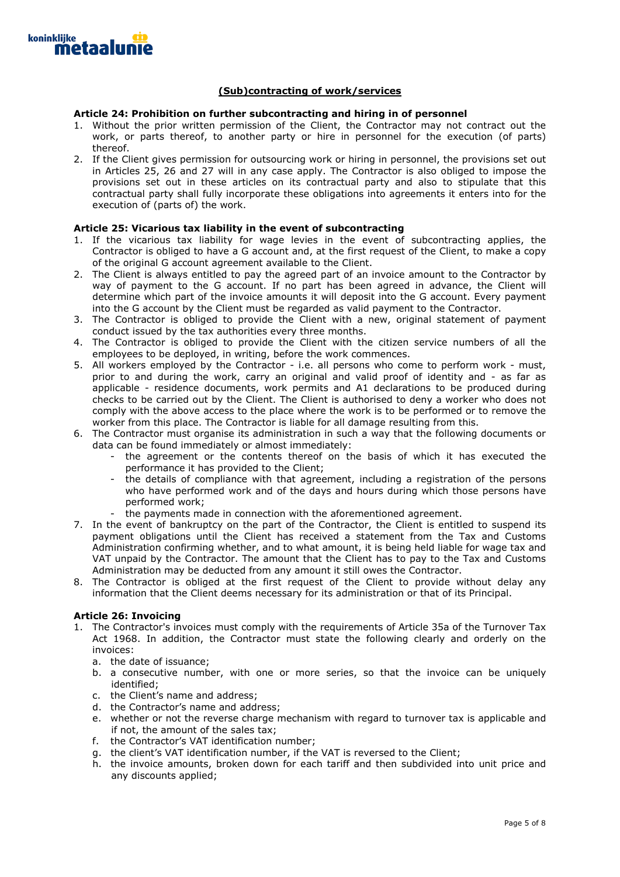

## **(Sub)contracting of work/services**

### **Article 24: Prohibition on further subcontracting and hiring in of personnel**

- 1. Without the prior written permission of the Client, the Contractor may not contract out the work, or parts thereof, to another party or hire in personnel for the execution (of parts) thereof.
- 2. If the Client gives permission for outsourcing work or hiring in personnel, the provisions set out in Articles 25, 26 and 27 will in any case apply. The Contractor is also obliged to impose the provisions set out in these articles on its contractual party and also to stipulate that this contractual party shall fully incorporate these obligations into agreements it enters into for the execution of (parts of) the work.

## **Article 25: Vicarious tax liability in the event of subcontracting**

- 1. If the vicarious tax liability for wage levies in the event of subcontracting applies, the Contractor is obliged to have a G account and, at the first request of the Client, to make a copy of the original G account agreement available to the Client.
- 2. The Client is always entitled to pay the agreed part of an invoice amount to the Contractor by way of payment to the G account. If no part has been agreed in advance, the Client will determine which part of the invoice amounts it will deposit into the G account. Every payment into the G account by the Client must be regarded as valid payment to the Contractor.
- 3. The Contractor is obliged to provide the Client with a new, original statement of payment conduct issued by the tax authorities every three months.
- 4. The Contractor is obliged to provide the Client with the citizen service numbers of all the employees to be deployed, in writing, before the work commences.
- 5. All workers employed by the Contractor i.e. all persons who come to perform work must, prior to and during the work, carry an original and valid proof of identity and - as far as applicable - residence documents, work permits and A1 declarations to be produced during checks to be carried out by the Client. The Client is authorised to deny a worker who does not comply with the above access to the place where the work is to be performed or to remove the worker from this place. The Contractor is liable for all damage resulting from this.
- 6. The Contractor must organise its administration in such a way that the following documents or data can be found immediately or almost immediately:
	- the agreement or the contents thereof on the basis of which it has executed the performance it has provided to the Client;
	- the details of compliance with that agreement, including a registration of the persons who have performed work and of the days and hours during which those persons have performed work;
	- the payments made in connection with the aforementioned agreement.
- 7. In the event of bankruptcy on the part of the Contractor, the Client is entitled to suspend its payment obligations until the Client has received a statement from the Tax and Customs Administration confirming whether, and to what amount, it is being held liable for wage tax and VAT unpaid by the Contractor. The amount that the Client has to pay to the Tax and Customs Administration may be deducted from any amount it still owes the Contractor.
- 8. The Contractor is obliged at the first request of the Client to provide without delay any information that the Client deems necessary for its administration or that of its Principal.

## **Article 26: Invoicing**

- 1. The Contractor's invoices must comply with the requirements of Article 35a of the Turnover Tax Act 1968. In addition, the Contractor must state the following clearly and orderly on the invoices:
	- a. the date of issuance;
	- b. a consecutive number, with one or more series, so that the invoice can be uniquely identified;
	- c. the Client's name and address;
	- d. the Contractor's name and address;
	- e. whether or not the reverse charge mechanism with regard to turnover tax is applicable and if not, the amount of the sales tax;
	- f. the Contractor's VAT identification number;
	- g. the client's VAT identification number, if the VAT is reversed to the Client;
	- h. the invoice amounts, broken down for each tariff and then subdivided into unit price and any discounts applied;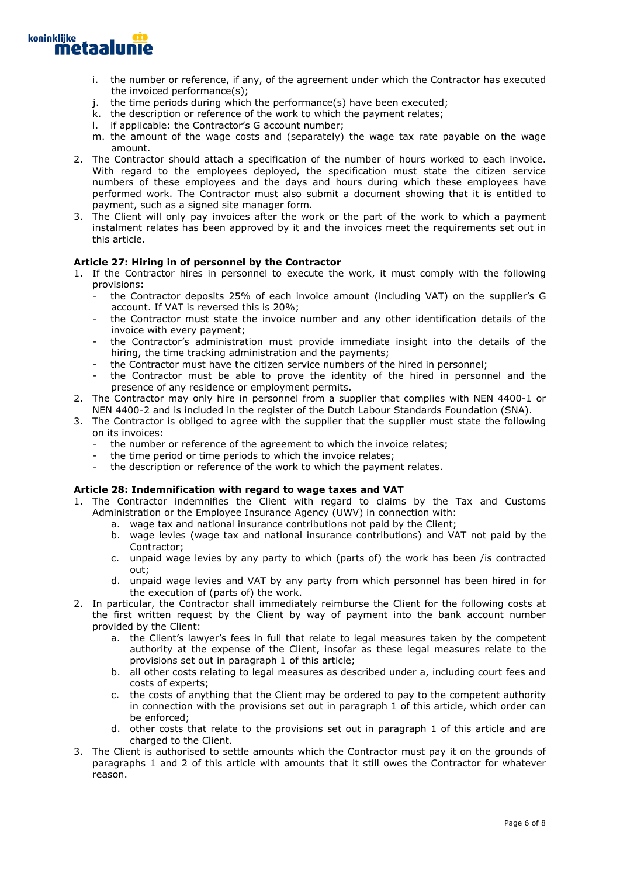

- i. the number or reference, if any, of the agreement under which the Contractor has executed the invoiced performance(s);
- j. the time periods during which the performance(s) have been executed;
- k. the description or reference of the work to which the payment relates;
- l. if applicable: the Contractor's G account number;
- m. the amount of the wage costs and (separately) the wage tax rate payable on the wage amount.
- 2. The Contractor should attach a specification of the number of hours worked to each invoice. With regard to the employees deployed, the specification must state the citizen service numbers of these employees and the days and hours during which these employees have performed work. The Contractor must also submit a document showing that it is entitled to payment, such as a signed site manager form.
- 3. The Client will only pay invoices after the work or the part of the work to which a payment instalment relates has been approved by it and the invoices meet the requirements set out in this article.

## **Article 27: Hiring in of personnel by the Contractor**

- 1. If the Contractor hires in personnel to execute the work, it must comply with the following provisions:
	- the Contractor deposits 25% of each invoice amount (including VAT) on the supplier's G account. If VAT is reversed this is 20%;
	- the Contractor must state the invoice number and any other identification details of the invoice with every payment;
	- the Contractor's administration must provide immediate insight into the details of the hiring, the time tracking administration and the payments;
	- the Contractor must have the citizen service numbers of the hired in personnel;
	- the Contractor must be able to prove the identity of the hired in personnel and the presence of any residence or employment permits.
- 2. The Contractor may only hire in personnel from a supplier that complies with NEN 4400-1 or NEN 4400-2 and is included in the register of the Dutch Labour Standards Foundation (SNA).
- 3. The Contractor is obliged to agree with the supplier that the supplier must state the following on its invoices:
	- the number or reference of the agreement to which the invoice relates;
	- the time period or time periods to which the invoice relates;
	- the description or reference of the work to which the payment relates.

## **Article 28: Indemnification with regard to wage taxes and VAT**

- 1. The Contractor indemnifies the Client with regard to claims by the Tax and Customs Administration or the Employee Insurance Agency (UWV) in connection with:
	- a. wage tax and national insurance contributions not paid by the Client;
		- b. wage levies (wage tax and national insurance contributions) and VAT not paid by the Contractor;
		- c. unpaid wage levies by any party to which (parts of) the work has been /is contracted out;
		- d. unpaid wage levies and VAT by any party from which personnel has been hired in for the execution of (parts of) the work.
- 2. In particular, the Contractor shall immediately reimburse the Client for the following costs at the first written request by the Client by way of payment into the bank account number provided by the Client:
	- a. the Client's lawver's fees in full that relate to legal measures taken by the competent authority at the expense of the Client, insofar as these legal measures relate to the provisions set out in paragraph 1 of this article;
	- b. all other costs relating to legal measures as described under a, including court fees and costs of experts;
	- c. the costs of anything that the Client may be ordered to pay to the competent authority in connection with the provisions set out in paragraph 1 of this article, which order can be enforced;
	- d. other costs that relate to the provisions set out in paragraph 1 of this article and are charged to the Client.
- 3. The Client is authorised to settle amounts which the Contractor must pay it on the grounds of paragraphs 1 and 2 of this article with amounts that it still owes the Contractor for whatever reason.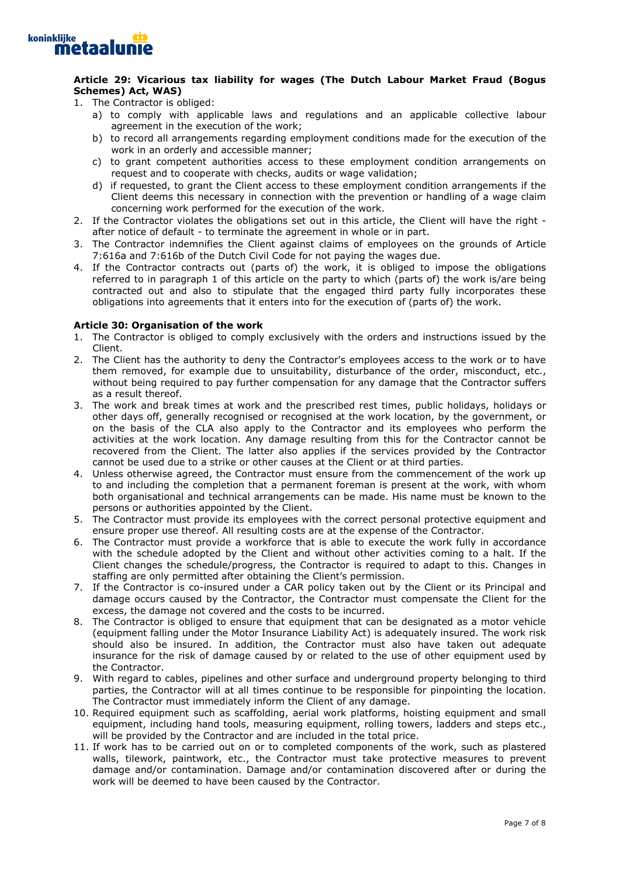

## **Article 29: Vicarious tax liability for wages (The Dutch Labour Market Fraud (Bogus Schemes) Act, WAS)**

- 1. The Contractor is obliged:
	- a) to comply with applicable laws and regulations and an applicable collective labour agreement in the execution of the work;
	- b) to record all arrangements regarding employment conditions made for the execution of the work in an orderly and accessible manner;
	- c) to grant competent authorities access to these employment condition arrangements on request and to cooperate with checks, audits or wage validation;
	- d) if requested, to grant the Client access to these employment condition arrangements if the Client deems this necessary in connection with the prevention or handling of a wage claim concerning work performed for the execution of the work.
- 2. If the Contractor violates the obligations set out in this article, the Client will have the right after notice of default - to terminate the agreement in whole or in part.
- 3. The Contractor indemnifies the Client against claims of employees on the grounds of Article 7:616a and 7:616b of the Dutch Civil Code for not paying the wages due.
- 4. If the Contractor contracts out (parts of) the work, it is obliged to impose the obligations referred to in paragraph 1 of this article on the party to which (parts of) the work is/are being contracted out and also to stipulate that the engaged third party fully incorporates these obligations into agreements that it enters into for the execution of (parts of) the work.

## **Article 30: Organisation of the work**

- 1. The Contractor is obliged to comply exclusively with the orders and instructions issued by the Client.
- 2. The Client has the authority to deny the Contractor's employees access to the work or to have them removed, for example due to unsuitability, disturbance of the order, misconduct, etc., without being required to pay further compensation for any damage that the Contractor suffers as a result thereof.
- 3. The work and break times at work and the prescribed rest times, public holidays, holidays or other days off, generally recognised or recognised at the work location, by the government, or on the basis of the CLA also apply to the Contractor and its employees who perform the activities at the work location. Any damage resulting from this for the Contractor cannot be recovered from the Client. The latter also applies if the services provided by the Contractor cannot be used due to a strike or other causes at the Client or at third parties.
- 4. Unless otherwise agreed, the Contractor must ensure from the commencement of the work up to and including the completion that a permanent foreman is present at the work, with whom both organisational and technical arrangements can be made. His name must be known to the persons or authorities appointed by the Client.
- 5. The Contractor must provide its employees with the correct personal protective equipment and ensure proper use thereof. All resulting costs are at the expense of the Contractor.
- 6. The Contractor must provide a workforce that is able to execute the work fully in accordance with the schedule adopted by the Client and without other activities coming to a halt. If the Client changes the schedule/progress, the Contractor is required to adapt to this. Changes in staffing are only permitted after obtaining the Client's permission.
- 7. If the Contractor is co-insured under a CAR policy taken out by the Client or its Principal and damage occurs caused by the Contractor, the Contractor must compensate the Client for the excess, the damage not covered and the costs to be incurred.
- 8. The Contractor is obliged to ensure that equipment that can be designated as a motor vehicle (equipment falling under the Motor Insurance Liability Act) is adequately insured. The work risk should also be insured. In addition, the Contractor must also have taken out adequate insurance for the risk of damage caused by or related to the use of other equipment used by the Contractor.
- 9. With regard to cables, pipelines and other surface and underground property belonging to third parties, the Contractor will at all times continue to be responsible for pinpointing the location. The Contractor must immediately inform the Client of any damage.
- 10. Required equipment such as scaffolding, aerial work platforms, hoisting equipment and small equipment, including hand tools, measuring equipment, rolling towers, ladders and steps etc., will be provided by the Contractor and are included in the total price.
- 11. If work has to be carried out on or to completed components of the work, such as plastered walls, tilework, paintwork, etc., the Contractor must take protective measures to prevent damage and/or contamination. Damage and/or contamination discovered after or during the work will be deemed to have been caused by the Contractor.